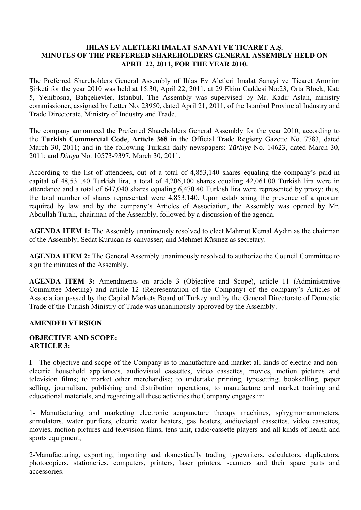#### **IHLAS EV ALETLERI IMALAT SANAYI VE TICARET A.Ş. MINUTES OF THE PREFEREED SHAREHOLDERS GENERAL ASSEMBLY HELD ON APRIL 22, 2011, FOR THE YEAR 2010.**

The Preferred Shareholders General Assembly of Ihlas Ev Aletleri Imalat Sanayi ve Ticaret Anonim Şirketi for the year 2010 was held at 15:30, April 22, 2011, at 29 Ekim Caddesi No:23, Orta Block, Kat: 5, Yenibosna, Bahçelievler, Istanbul. The Assembly was supervised by Mr. Kadir Aslan, ministry commissioner, assigned by Letter No. 23950, dated April 21, 2011, of the Istanbul Provincial Industry and Trade Directorate, Ministry of Industry and Trade.

The company announced the Preferred Shareholders General Assembly for the year 2010, according to the **Turkish Commercial Code**, **Article 368** in the Official Trade Registry Gazette No. 7783, dated March 30, 2011; and in the following Turkish daily newspapers: *Türkiye* No. 14623, dated March 30, 2011; and *Dünya* No. 10573-9397, March 30, 2011.

According to the list of attendees, out of a total of 4,853,140 shares equaling the company's paid-in capital of 48,531.40 Turkish lira, a total of 4,206,100 shares equaling 42,061.00 Turkish lira were in attendance and a total of 647,040 shares equaling 6,470.40 Turkish lira were represented by proxy; thus, the total number of shares represented were 4,853.140. Upon establishing the presence of a quorum required by law and by the company's Articles of Association, the Assembly was opened by Mr. Abdullah Turalı, chairman of the Assembly, followed by a discussion of the agenda.

**AGENDA ITEM 1:** The Assembly unanimously resolved to elect Mahmut Kemal Aydın as the chairman of the Assembly; Sedat Kurucan as canvasser; and Mehmet Küsmez as secretary.

**AGENDA ITEM 2:** The General Assembly unanimously resolved to authorize the Council Committee to sign the minutes of the Assembly.

**AGENDA ITEM 3:** Amendments on article 3 (Objective and Scope), article 11 (Administrative Committee Meeting) and article 12 (Representation of the Company) of the company's Articles of Association passed by the Capital Markets Board of Turkey and by the General Directorate of Domestic Trade of the Turkish Ministry of Trade was unanimously approved by the Assembly.

## **AMENDED VERSION**

#### **OBJECTIVE AND SCOPE: ARTICLE 3:**

**I** - The objective and scope of the Company is to manufacture and market all kinds of electric and nonelectric household appliances, audiovisual cassettes, video cassettes, movies, motion pictures and television films; to market other merchandise; to undertake printing, typesetting, bookselling, paper selling, journalism, publishing and distribution operations; to manufacture and market training and educational materials, and regarding all these activities the Company engages in:

1- Manufacturing and marketing electronic acupuncture therapy machines, sphygmomanometers, stimulators, water purifiers, electric water heaters, gas heaters, audiovisual cassettes, video cassettes, movies, motion pictures and television films, tens unit, radio/cassette players and all kinds of health and sports equipment;

2-Manufacturing, exporting, importing and domestically trading typewriters, calculators, duplicators, photocopiers, stationeries, computers, printers, laser printers, scanners and their spare parts and accessories.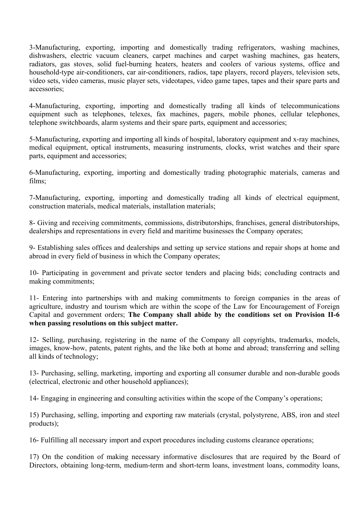3-Manufacturing, exporting, importing and domestically trading refrigerators, washing machines, dishwashers, electric vacuum cleaners, carpet machines and carpet washing machines, gas heaters, radiators, gas stoves, solid fuel-burning heaters, heaters and coolers of various systems, office and household-type air-conditioners, car air-conditioners, radios, tape players, record players, television sets, video sets, video cameras, music player sets, videotapes, video game tapes, tapes and their spare parts and accessories;

4-Manufacturing, exporting, importing and domestically trading all kinds of telecommunications equipment such as telephones, telexes, fax machines, pagers, mobile phones, cellular telephones, telephone switchboards, alarm systems and their spare parts, equipment and accessories;

5-Manufacturing, exporting and importing all kinds of hospital, laboratory equipment and x-ray machines, medical equipment, optical instruments, measuring instruments, clocks, wrist watches and their spare parts, equipment and accessories;

6-Manufacturing, exporting, importing and domestically trading photographic materials, cameras and films;

7-Manufacturing, exporting, importing and domestically trading all kinds of electrical equipment, construction materials, medical materials, installation materials;

8- Giving and receiving commitments, commissions, distributorships, franchises, general distributorships, dealerships and representations in every field and maritime businesses the Company operates;

9- Establishing sales offices and dealerships and setting up service stations and repair shops at home and abroad in every field of business in which the Company operates;

10- Participating in government and private sector tenders and placing bids; concluding contracts and making commitments;

11- Entering into partnerships with and making commitments to foreign companies in the areas of agriculture, industry and tourism which are within the scope of the Law for Encouragement of Foreign Capital and government orders; **The Company shall abide by the conditions set on Provision II-6 when passing resolutions on this subject matter.** 

12- Selling, purchasing, registering in the name of the Company all copyrights, trademarks, models, images, know-how, patents, patent rights, and the like both at home and abroad; transferring and selling all kinds of technology;

13- Purchasing, selling, marketing, importing and exporting all consumer durable and non-durable goods (electrical, electronic and other household appliances);

14- Engaging in engineering and consulting activities within the scope of the Company's operations;

15) Purchasing, selling, importing and exporting raw materials (crystal, polystyrene, ABS, iron and steel products);

16- Fulfilling all necessary import and export procedures including customs clearance operations;

17) On the condition of making necessary informative disclosures that are required by the Board of Directors, obtaining long-term, medium-term and short-term loans, investment loans, commodity loans,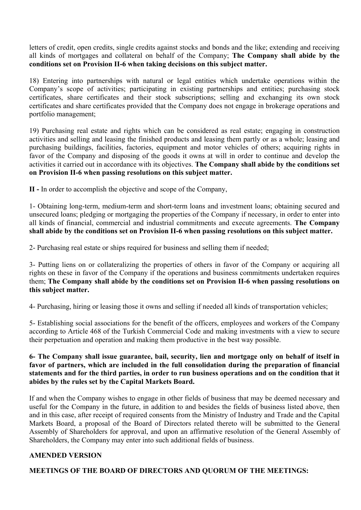letters of credit, open credits, single credits against stocks and bonds and the like; extending and receiving all kinds of mortgages and collateral on behalf of the Company; **The Company shall abide by the conditions set on Provision II-6 when taking decisions on this subject matter.** 

18) Entering into partnerships with natural or legal entities which undertake operations within the Company's scope of activities; participating in existing partnerships and entities; purchasing stock certificates, share certificates and their stock subscriptions; selling and exchanging its own stock certificates and share certificates provided that the Company does not engage in brokerage operations and portfolio management;

19) Purchasing real estate and rights which can be considered as real estate; engaging in construction activities and selling and leasing the finished products and leasing them partly or as a whole; leasing and purchasing buildings, facilities, factories, equipment and motor vehicles of others; acquiring rights in favor of the Company and disposing of the goods it owns at will in order to continue and develop the activities it carried out in accordance with its objectives. **The Company shall abide by the conditions set on Provision II-6 when passing resolutions on this subject matter.** 

**II -** In order to accomplish the objective and scope of the Company,

1- Obtaining long-term, medium-term and short-term loans and investment loans; obtaining secured and unsecured loans; pledging or mortgaging the properties of the Company if necessary, in order to enter into all kinds of financial, commercial and industrial commitments and execute agreements. **The Company shall abide by the conditions set on Provision II-6 when passing resolutions on this subject matter.** 

2- Purchasing real estate or ships required for business and selling them if needed;

3- Putting liens on or collateralizing the properties of others in favor of the Company or acquiring all rights on these in favor of the Company if the operations and business commitments undertaken requires them; **The Company shall abide by the conditions set on Provision II-6 when passing resolutions on this subject matter.** 

4- Purchasing, hiring or leasing those it owns and selling if needed all kinds of transportation vehicles;

5- Establishing social associations for the benefit of the officers, employees and workers of the Company according to Article 468 of the Turkish Commercial Code and making investments with a view to secure their perpetuation and operation and making them productive in the best way possible.

## **6- The Company shall issue guarantee, bail, security, lien and mortgage only on behalf of itself in favor of partners, which are included in the full consolidation during the preparation of financial statements and for the third parties, in order to run business operations and on the condition that it abides by the rules set by the Capital Markets Board.**

If and when the Company wishes to engage in other fields of business that may be deemed necessary and useful for the Company in the future, in addition to and besides the fields of business listed above, then and in this case, after receipt of required consents from the Ministry of Industry and Trade and the Capital Markets Board, a proposal of the Board of Directors related thereto will be submitted to the General Assembly of Shareholders for approval, and upon an affirmative resolution of the General Assembly of Shareholders, the Company may enter into such additional fields of business.

## **AMENDED VERSION**

**MEETINGS OF THE BOARD OF DIRECTORS AND QUORUM OF THE MEETINGS:**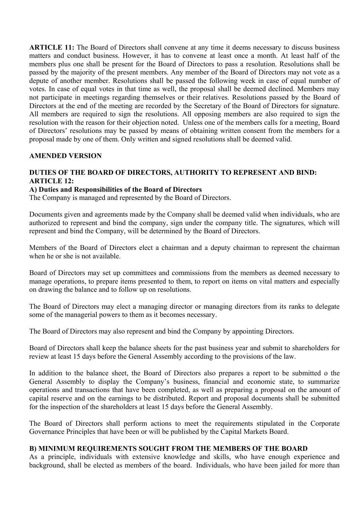**ARTICLE 11:** The Board of Directors shall convene at any time it deems necessary to discuss business matters and conduct business. However, it has to convene at least once a month. At least half of the members plus one shall be present for the Board of Directors to pass a resolution. Resolutions shall be passed by the majority of the present members. Any member of the Board of Directors may not vote as a depute of another member. Resolutions shall be passed the following week in case of equal number of votes. In case of equal votes in that time as well, the proposal shall be deemed declined. Members may not participate in meetings regarding themselves or their relatives. Resolutions passed by the Board of Directors at the end of the meeting are recorded by the Secretary of the Board of Directors for signature. All members are required to sign the resolutions. All opposing members are also required to sign the resolution with the reason for their objection noted. Unless one of the members calls for a meeting, Board of Directors' resolutions may be passed by means of obtaining written consent from the members for a proposal made by one of them. Only written and signed resolutions shall be deemed valid.

# **AMENDED VERSION**

# **DUTIES OF THE BOARD OF DIRECTORS, AUTHORITY TO REPRESENT AND BIND: ARTICLE 12:**

## **A) Duties and Responsibilities of the Board of Directors**

The Company is managed and represented by the Board of Directors.

Documents given and agreements made by the Company shall be deemed valid when individuals, who are authorized to represent and bind the company, sign under the company title. The signatures, which will represent and bind the Company, will be determined by the Board of Directors.

Members of the Board of Directors elect a chairman and a deputy chairman to represent the chairman when he or she is not available.

Board of Directors may set up committees and commissions from the members as deemed necessary to manage operations, to prepare items presented to them, to report on items on vital matters and especially on drawing the balance and to follow up on resolutions.

The Board of Directors may elect a managing director or managing directors from its ranks to delegate some of the managerial powers to them as it becomes necessary.

The Board of Directors may also represent and bind the Company by appointing Directors.

Board of Directors shall keep the balance sheets for the past business year and submit to shareholders for review at least 15 days before the General Assembly according to the provisions of the law.

In addition to the balance sheet, the Board of Directors also prepares a report to be submitted o the General Assembly to display the Company's business, financial and economic state, to summarize operations and transactions that have been completed, as well as preparing a proposal on the amount of capital reserve and on the earnings to be distributed. Report and proposal documents shall be submitted for the inspection of the shareholders at least 15 days before the General Assembly.

The Board of Directors shall perform actions to meet the requirements stipulated in the Corporate Governance Principles that have been or will be published by the Capital Markets Board.

# **B) MINIMUM REQUIREMENTS SOUGHT FROM THE MEMBERS OF THE BOARD**

As a principle, individuals with extensive knowledge and skills, who have enough experience and background, shall be elected as members of the board. Individuals, who have been jailed for more than